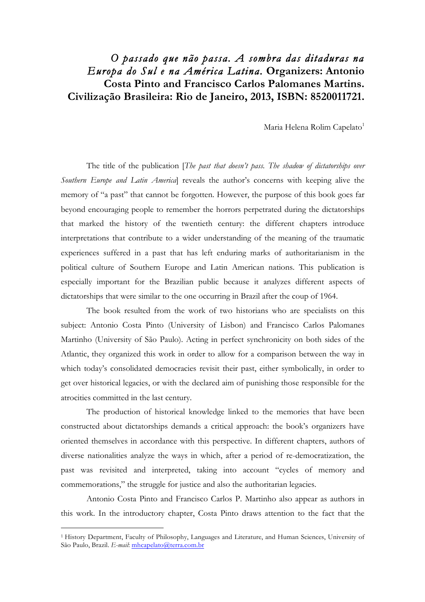## *O passado que não passa. A sombra das ditaduras na Europa do Sul e na América Latina.* **Organizers: Antonio Costa Pinto and Francisco Carlos Palomanes Martins. Civilização Brasileira: Rio de Janeiro, 2013, ISBN: 8520011721.**

Maria Helena Rolim Capelato<sup>1</sup>

The title of the publication [*The past that doesn't pass. The shadow of dictatorships over Southern Europe and Latin America*] reveals the author's concerns with keeping alive the memory of "a past" that cannot be forgotten. However, the purpose of this book goes far beyond encouraging people to remember the horrors perpetrated during the dictatorships that marked the history of the twentieth century: the different chapters introduce interpretations that contribute to a wider understanding of the meaning of the traumatic experiences suffered in a past that has left enduring marks of authoritarianism in the political culture of Southern Europe and Latin American nations. This publication is especially important for the Brazilian public because it analyzes different aspects of dictatorships that were similar to the one occurring in Brazil after the coup of 1964.

The book resulted from the work of two historians who are specialists on this subject: Antonio Costa Pinto (University of Lisbon) and Francisco Carlos Palomanes Martinho (University of São Paulo). Acting in perfect synchronicity on both sides of the Atlantic, they organized this work in order to allow for a comparison between the way in which today's consolidated democracies revisit their past, either symbolically, in order to get over historical legacies, or with the declared aim of punishing those responsible for the atrocities committed in the last century.

The production of historical knowledge linked to the memories that have been constructed about dictatorships demands a critical approach: the book's organizers have oriented themselves in accordance with this perspective. In different chapters, authors of diverse nationalities analyze the ways in which, after a period of re-democratization, the past was revisited and interpreted, taking into account "cycles of memory and commemorations," the struggle for justice and also the authoritarian legacies.

Antonio Costa Pinto and Francisco Carlos P. Martinho also appear as authors in this work. In the introductory chapter, Costa Pinto draws attention to the fact that the

 $\overline{a}$ 

<sup>1</sup> History Department, Faculty of Philosophy, Languages and Literature, and Human Sciences, University of São Paulo, Brazil. *E-mail*: mhcapelato@terra.com.br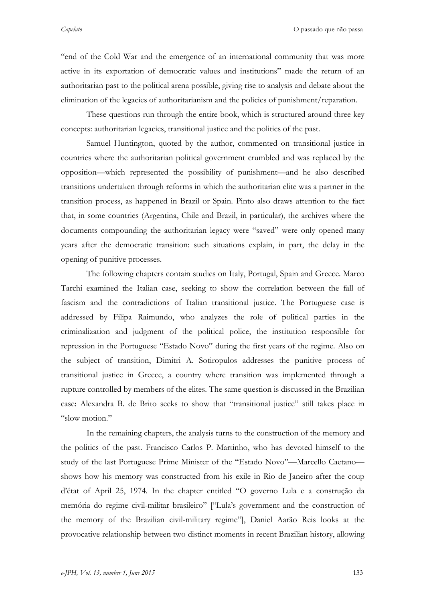"end of the Cold War and the emergence of an international community that was more active in its exportation of democratic values and institutions" made the return of an authoritarian past to the political arena possible, giving rise to analysis and debate about the elimination of the legacies of authoritarianism and the policies of punishment/reparation.

These questions run through the entire book, which is structured around three key concepts: authoritarian legacies, transitional justice and the politics of the past.

Samuel Huntington, quoted by the author, commented on transitional justice in countries where the authoritarian political government crumbled and was replaced by the opposition—which represented the possibility of punishment—and he also described transitions undertaken through reforms in which the authoritarian elite was a partner in the transition process, as happened in Brazil or Spain. Pinto also draws attention to the fact that, in some countries (Argentina, Chile and Brazil, in particular), the archives where the documents compounding the authoritarian legacy were "saved" were only opened many years after the democratic transition: such situations explain, in part, the delay in the opening of punitive processes.

The following chapters contain studies on Italy, Portugal, Spain and Greece. Marco Tarchi examined the Italian case, seeking to show the correlation between the fall of fascism and the contradictions of Italian transitional justice. The Portuguese case is addressed by Filipa Raimundo, who analyzes the role of political parties in the criminalization and judgment of the political police, the institution responsible for repression in the Portuguese "Estado Novo" during the first years of the regime. Also on the subject of transition, Dimitri A. Sotiropulos addresses the punitive process of transitional justice in Greece, a country where transition was implemented through a rupture controlled by members of the elites. The same question is discussed in the Brazilian case: Alexandra B. de Brito seeks to show that "transitional justice" still takes place in "slow motion."

In the remaining chapters, the analysis turns to the construction of the memory and the politics of the past. Francisco Carlos P. Martinho, who has devoted himself to the study of the last Portuguese Prime Minister of the "Estado Novo"—Marcello Caetano shows how his memory was constructed from his exile in Rio de Janeiro after the coup d'état of April 25, 1974. In the chapter entitled "O governo Lula e a construção da memória do regime civil-militar brasileiro" ["Lula's government and the construction of the memory of the Brazilian civil-military regime"], Daniel Aarão Reis looks at the provocative relationship between two distinct moments in recent Brazilian history, allowing